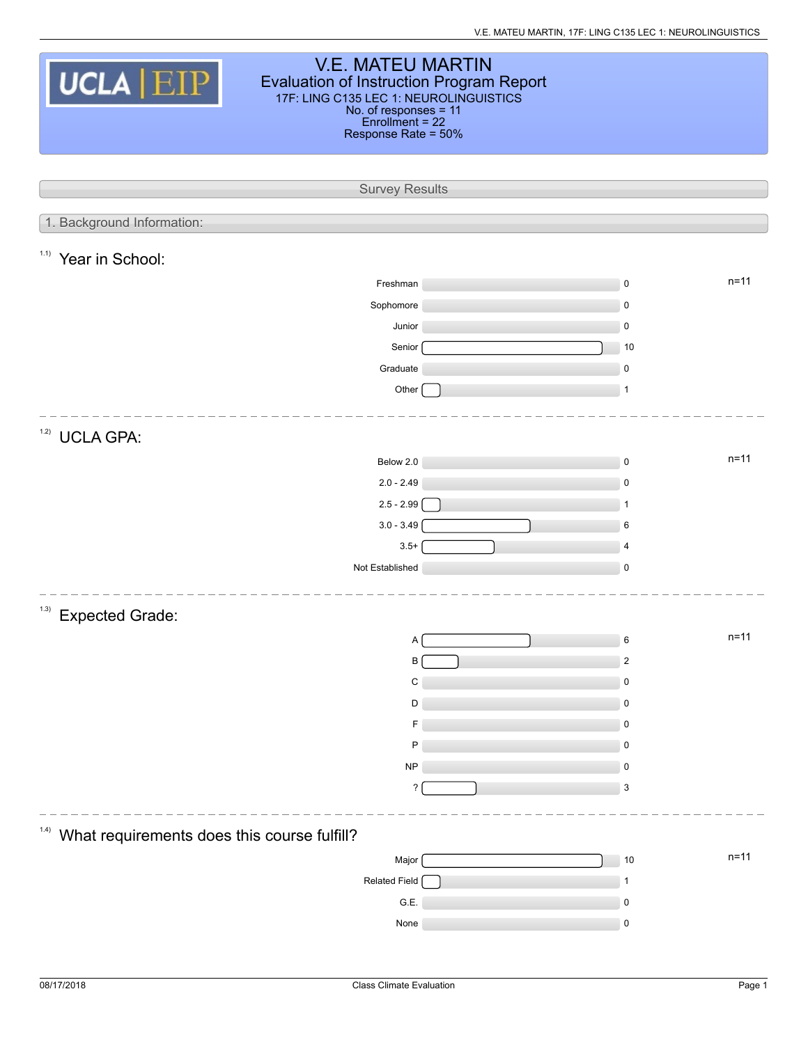| <b>V.E. MATEU MARTIN</b><br><b>UCLA EIP</b><br><b>Evaluation of Instruction Program Report</b><br>17F: LING C135 LEC 1: NEUROLINGUISTICS<br>No. of responses = 11<br>$Enrollment = 22$<br>Response Rate = 50% |  |                         |          |  |  |  |
|---------------------------------------------------------------------------------------------------------------------------------------------------------------------------------------------------------------|--|-------------------------|----------|--|--|--|
| <b>Survey Results</b>                                                                                                                                                                                         |  |                         |          |  |  |  |
|                                                                                                                                                                                                               |  |                         |          |  |  |  |
| 1. Background Information:                                                                                                                                                                                    |  |                         |          |  |  |  |
| 1.1)<br>Year in School:                                                                                                                                                                                       |  |                         |          |  |  |  |
| Freshman                                                                                                                                                                                                      |  | $\pmb{0}$               | $n = 11$ |  |  |  |
| Sophomore                                                                                                                                                                                                     |  | 0                       |          |  |  |  |
| Junior                                                                                                                                                                                                        |  | $\pmb{0}$               |          |  |  |  |
| Senior                                                                                                                                                                                                        |  | 10                      |          |  |  |  |
| Graduate                                                                                                                                                                                                      |  | $\pmb{0}$               |          |  |  |  |
| Other                                                                                                                                                                                                         |  | $\mathbf{1}$            |          |  |  |  |
|                                                                                                                                                                                                               |  |                         |          |  |  |  |
| 1.2)<br><b>UCLA GPA:</b>                                                                                                                                                                                      |  |                         |          |  |  |  |
| Below 2.0                                                                                                                                                                                                     |  | $\pmb{0}$               | $n = 11$ |  |  |  |
| $2.0 - 2.49$                                                                                                                                                                                                  |  | $\pmb{0}$               |          |  |  |  |
| $2.5 - 2.99$                                                                                                                                                                                                  |  | $\mathbf{1}$            |          |  |  |  |
| $3.0 - 3.49$                                                                                                                                                                                                  |  | 6                       |          |  |  |  |
| $3.5+$                                                                                                                                                                                                        |  | $\overline{4}$          |          |  |  |  |
| Not Established                                                                                                                                                                                               |  | $\mathsf 0$             |          |  |  |  |
| (1.3)                                                                                                                                                                                                         |  |                         |          |  |  |  |
| <b>Expected Grade:</b>                                                                                                                                                                                        |  |                         |          |  |  |  |
| Α                                                                                                                                                                                                             |  | 6                       | $n = 11$ |  |  |  |
| B                                                                                                                                                                                                             |  | $\overline{\mathbf{c}}$ |          |  |  |  |
| С                                                                                                                                                                                                             |  | $\pmb{0}$               |          |  |  |  |
| D                                                                                                                                                                                                             |  | $\pmb{0}$               |          |  |  |  |
| F                                                                                                                                                                                                             |  | 0                       |          |  |  |  |
| P                                                                                                                                                                                                             |  | 0                       |          |  |  |  |
| NP                                                                                                                                                                                                            |  | $\pmb{0}$               |          |  |  |  |
| ?                                                                                                                                                                                                             |  | 3                       |          |  |  |  |
|                                                                                                                                                                                                               |  |                         |          |  |  |  |
| (1.4)<br>What requirements does this course fulfill?                                                                                                                                                          |  |                         |          |  |  |  |
| Major                                                                                                                                                                                                         |  | $10$                    | $n = 11$ |  |  |  |
| Related Field                                                                                                                                                                                                 |  | 1                       |          |  |  |  |
| G.E.                                                                                                                                                                                                          |  | $\pmb{0}$               |          |  |  |  |
| None                                                                                                                                                                                                          |  | $\pmb{0}$               |          |  |  |  |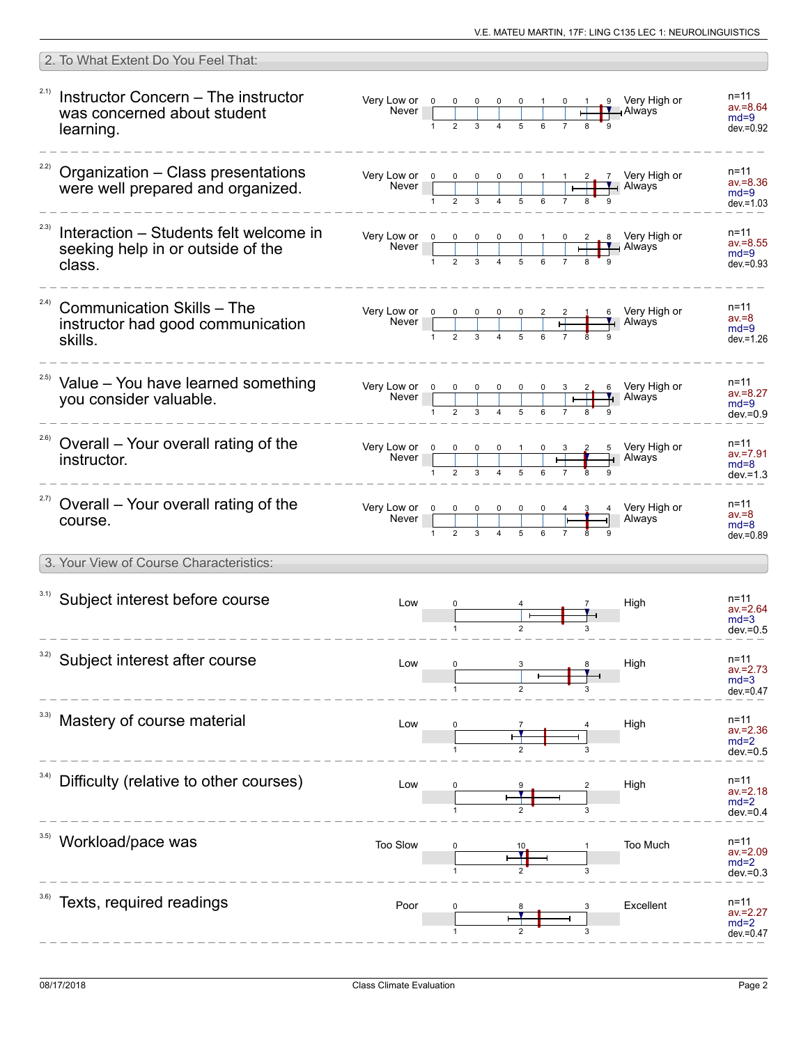| 2. To What Extent Do You Feel That:                                                           |                                                                                                                                                                                                                                                                                                                                                                                                                        |                                                     |                                  |                                                                                           |                                                   |
|-----------------------------------------------------------------------------------------------|------------------------------------------------------------------------------------------------------------------------------------------------------------------------------------------------------------------------------------------------------------------------------------------------------------------------------------------------------------------------------------------------------------------------|-----------------------------------------------------|----------------------------------|-------------------------------------------------------------------------------------------|---------------------------------------------------|
| 2.1)<br>Instructor Concern - The instructor<br>was concerned about student<br>learning.       | Very Low or $\begin{array}{ c c c c c }\n\hline\n&\text{Never}&\text{O}&0&0&0&1 \\ \hline\n&1&2&3&4&5&6\n\end{array}$                                                                                                                                                                                                                                                                                                  |                                                     |                                  | 9 Very High or<br><b>LY</b> Always                                                        | n=11<br>$av = 8.64$<br>$md=9$<br>$dev = 0.92$     |
| 2.2)<br>Organization - Class presentations<br>were well prepared and organized.               | Very Low or $\begin{array}{ c c c c c }\n\hline\n&\text{Never} & 0 & 0 & 0 & 0 & 1 \\ \hline\n& 1 & 2 & 3 & 4 & 5 & 6\n\end{array}$                                                                                                                                                                                                                                                                                    |                                                     | $\vdash$                         | 7 Very High or<br>⊣ Always                                                                | $n = 11$<br>$av = 8.36$<br>$md=9$<br>$dev = 1.03$ |
| 2.3)<br>Interaction – Students felt welcome in<br>seeking help in or outside of the<br>class. |                                                                                                                                                                                                                                                                                                                                                                                                                        |                                                     |                                  |                                                                                           | $n = 11$<br>$av = 8.55$<br>$md=9$<br>$dev = 0.93$ |
| 2.4)<br><b>Communication Skills - The</b><br>instructor had good communication<br>skills.     | Very Low or $\begin{array}{ c c c c c }\n\hline\n0 & 0 & 0 & 0 & 0 & 2 & 2 \\ \hline\n\text{Never} & & & & & & & & & & \\ \hline\n1 & 2 & 3 & 4 & 5 & 6 & 7 & 2 \\ \hline\n\end{array}$                                                                                                                                                                                                                                |                                                     |                                  | 6 Very High or<br>$\overline{1}$ Always                                                   | $n = 11$<br>$av = 8$<br>$md=9$<br>$dev = 1.26$    |
| <sup>2.5)</sup> Value - You have learned something<br>you consider valuable.                  | Very Low or $\begin{array}{ c c c c c }\n\hline\n\text{Never} & \begin{array}{ c c c c }\n\hline\n\text{Never} & \begin{array}{ c c c }\n\hline\n\text{NLO} & \text{NLO} & \text{NLO} & \text{NLO} \\ \hline\n\end{array} & \text{NLO} & \text{NLO} & \text{NLO} & \text{NLO} & \text{NLO} & \text{NLO} \\ \hline\n\end{array} & \text{NLO} & \text{NLO} & \text{NLO} & \text{NLO} & \text{NLO} & \text{NLO} & \text{$ |                                                     |                                  | $\begin{array}{ c c c c }\n \hline\n 1 & 2 & 6 & \n\hline\n 1 & 1 & \n\end{array}$ Always | n=11<br>$av = 8.27$<br>$md=9$<br>$dev = 0.9$      |
| 2.6)<br>Overall – Your overall rating of the<br>instructor.                                   | Very Low or 0<br>Never                                                                                                                                                                                                                                                                                                                                                                                                 | $\begin{array}{c cccc}\n0 & 0 & 0 & 1\n\end{array}$ | $\frac{3}{\sqrt{1-\frac{3}{2}}}$ | 5 Very High or<br>Always                                                                  | $n = 11$<br>$av = 7.91$<br>$md=8$<br>$dev = 1.3$  |
| <sup>2.7)</sup> Overall - Your overall rating of the<br>course.                               | Very Low or $\begin{array}{ c c c c c }\n\hline\n&\text{Never} & 0 & 0 & 0 & 0 & 0 & 4 \\ \hline\n& 1 & 2 & 3 & 4 & 5 & 6 & 7\n\end{array}$                                                                                                                                                                                                                                                                            |                                                     |                                  | Very High or<br>Always                                                                    | $n = 11$<br>$av = 8$<br>$md=8$<br>$dev = 0.89$    |
| 3. Your View of Course Characteristics:                                                       |                                                                                                                                                                                                                                                                                                                                                                                                                        |                                                     |                                  |                                                                                           |                                                   |
| 3.1) Subject interest before course                                                           | Low                                                                                                                                                                                                                                                                                                                                                                                                                    |                                                     |                                  | High                                                                                      | n=11<br>$av = 2.64$<br>$md=3$<br>$dev = 0.5$      |
| 3.2)<br>Subject interest after course                                                         | Low                                                                                                                                                                                                                                                                                                                                                                                                                    |                                                     |                                  | High                                                                                      | n=11<br>$av = 2.73$<br>$md=3$<br>$dev = 0.47$     |
| Mastery of course material                                                                    | Low                                                                                                                                                                                                                                                                                                                                                                                                                    |                                                     |                                  | High                                                                                      | n=11<br>av.=2.36<br>$md=2$<br>$dev = 0.5$         |
| 3.4)<br>Difficulty (relative to other courses)                                                | Low                                                                                                                                                                                                                                                                                                                                                                                                                    |                                                     |                                  | High                                                                                      | $n = 11$<br>av.=2.18<br>$md=2$<br>$dev = 0.4$     |
| Workload/pace was                                                                             | Too Slow                                                                                                                                                                                                                                                                                                                                                                                                               |                                                     |                                  | Too Much                                                                                  | n=11<br>$av = 2.09$<br>$md=2$<br>dev.=0.3         |
| Texts, required readings                                                                      | Poor                                                                                                                                                                                                                                                                                                                                                                                                                   |                                                     |                                  | Excellent                                                                                 | n=11<br>av.=2.27<br>$md=2$<br>dev.=0.47           |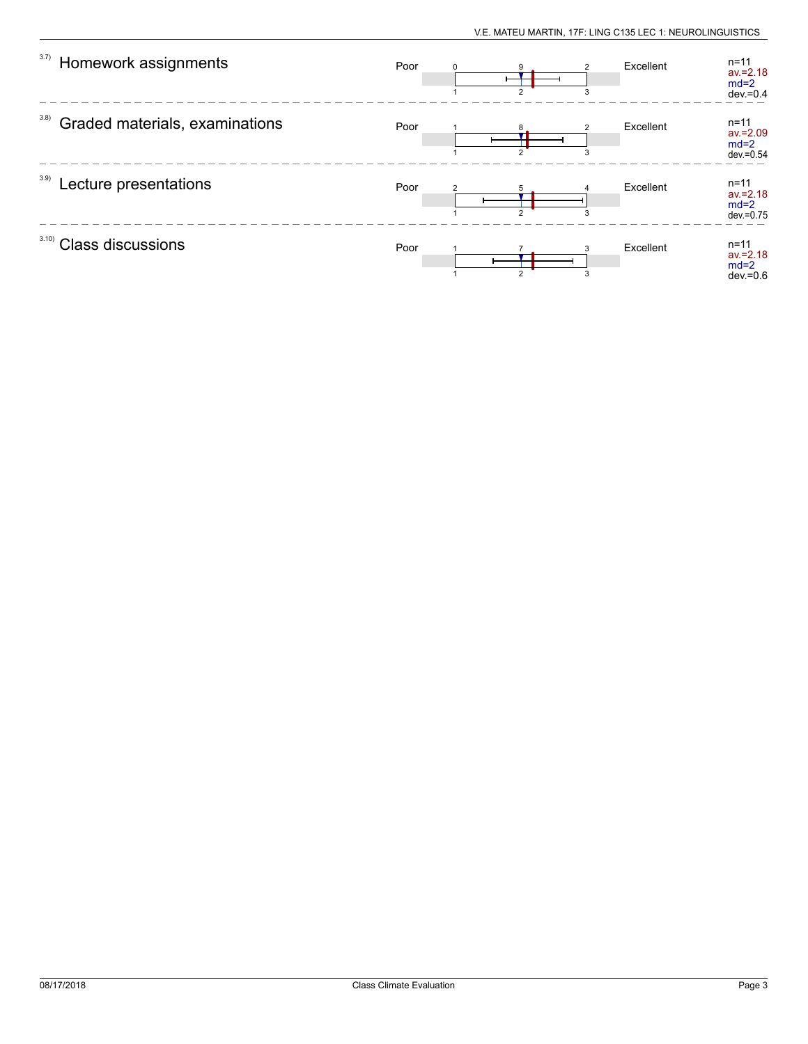| 3.7)<br>Homework assignments           | Poor | $\Omega$<br>$\mathcal{P}$ | 3 | Excellent | $n = 11$<br>$av = 2.18$<br>$md=2$<br>$dev = 0.4$  |
|----------------------------------------|------|---------------------------|---|-----------|---------------------------------------------------|
| 3.8)<br>Graded materials, examinations | Poor | $\sim$                    |   | Excellent | $n = 11$<br>$av = 2.09$<br>$md=2$<br>$dev = 0.54$ |
| 3.9)<br>Lecture presentations          | Poor | $\mathfrak{p}$            | 3 | Excellent | $n = 11$<br>$av = 2.18$<br>$md=2$<br>$dev = 0.75$ |
| 3.10<br><b>Class discussions</b>       | Poor | $\mathcal{P}$             | 3 | Excellent | $n = 11$<br>$av = 2.18$<br>$md=2$<br>$dev = 0.6$  |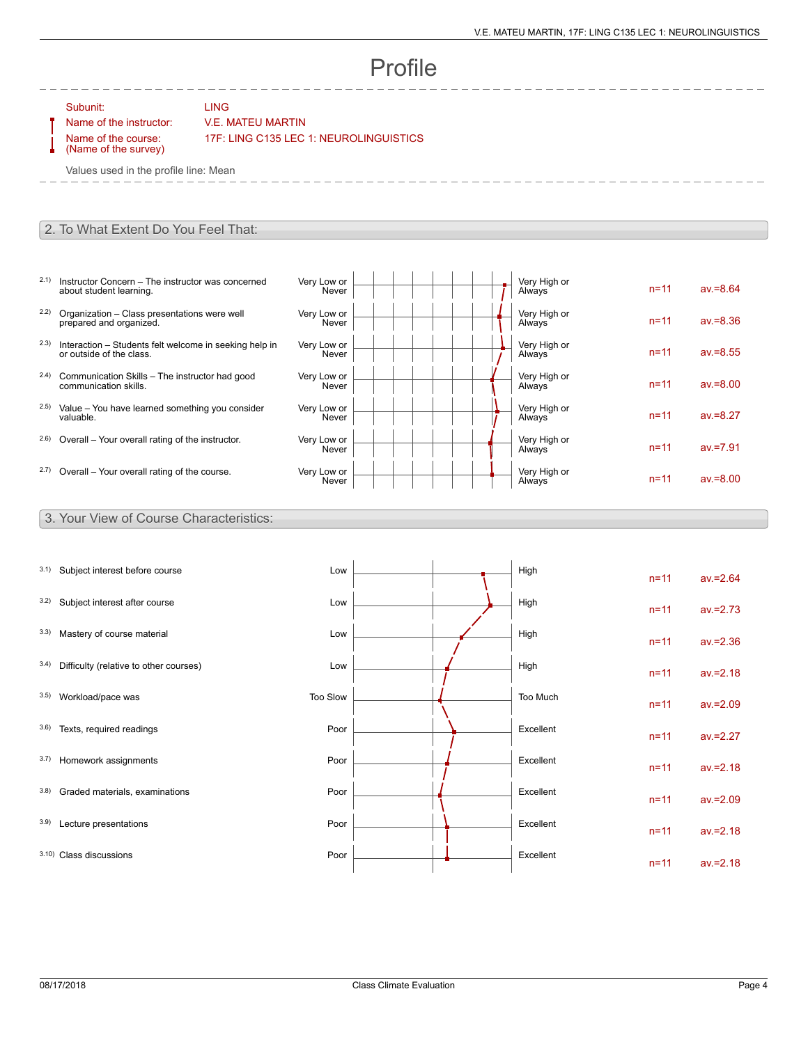# Profile

Subunit: LING

### Name of the instructor: V.E. MATEU MARTIN

Name of the course: (Name of the survey) 17F: LING C135 LEC 1: NEUROLINGUISTICS

Values used in the profile line: Mean

#### 2. To What Extent Do You Feel That:

- 2.1) Instructor Concern The instructor was concerned about student learning.
- 2.2) Organization Class presentations were well prepared and organized.
- 2.3) Interaction Students felt welcome in seeking help in or outside of the class.
- 2.4) Communication Skills The instructor had good communication skills.
- 2.5) Value You have learned something you consider valuable.
- $2.6$ ) Overall Your overall rating of the instructor.
- $2.7$ ) Overall Your overall rating of the course.

| Very Low or<br>Never | Very High or<br>Always | $n = 11$ | $av = 8.64$ |
|----------------------|------------------------|----------|-------------|
| Very Low or<br>Never | Very High or<br>Always | $n = 11$ | $av = 8.36$ |
| Very Low or<br>Never | Very High or<br>Always | $n = 11$ | $av = 8.55$ |
| Very Low or<br>Never | Very High or<br>Always | $n = 11$ | $av = 8.00$ |
| Very Low or<br>Never | Very High or<br>Always | $n = 11$ | $av = 8.27$ |
| Very Low or<br>Never | Very High or<br>Always | $n = 11$ | $av = 7.91$ |
| Very Low or<br>Never | Very High or<br>Always | $n = 11$ | $av = 8.00$ |

#### 3. Your View of Course Characteristics:

| 3.1) | Subject interest before course         | Low      |  | High      | $n = 11$ | $av = 2.64$ |
|------|----------------------------------------|----------|--|-----------|----------|-------------|
| 3.2) | Subject interest after course          | Low      |  | High      | $n = 11$ | $av = 2.73$ |
| 3.3) | Mastery of course material             | Low      |  | High      | $n = 11$ | $av = 2.36$ |
| 3.4) | Difficulty (relative to other courses) | Low      |  | High      | $n = 11$ | $av = 2.18$ |
| 3.5) | Workload/pace was                      | Too Slow |  | Too Much  | $n = 11$ | $av = 2.09$ |
| 3.6) | Texts, required readings               | Poor     |  | Excellent | $n = 11$ | $av = 2.27$ |
| 3.7) | Homework assignments                   | Poor     |  | Excellent | $n = 11$ | $av = 2.18$ |
| 3.8) | Graded materials, examinations         | Poor     |  | Excellent | $n = 11$ | $av = 2.09$ |
| 3.9) | Lecture presentations                  | Poor     |  | Excellent | $n = 11$ | $av = 2.18$ |
|      | 3.10) Class discussions                | Poor     |  | Excellent | $n = 11$ | $av = 2.18$ |